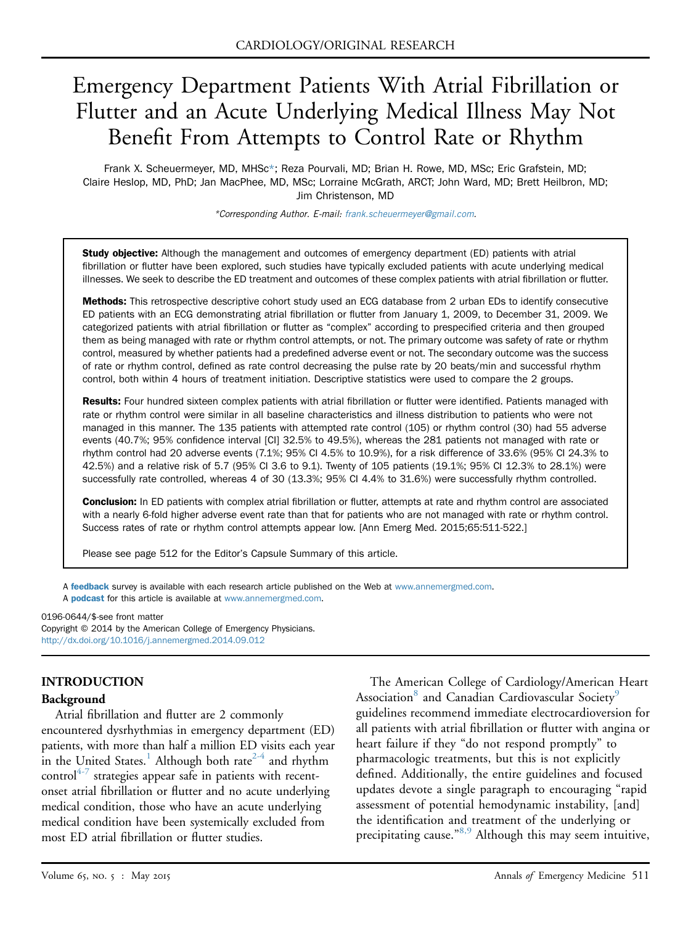# Emergency Department Patients With Atrial Fibrillation or Flutter and an Acute Underlying Medical Illness May Not Benefit From Attempts to Control Rate or Rhythm

Frank X. Scheuermeyer, MD, MHSc\*; Reza Pourvali, MD; Brian H. Rowe, MD, MSc; Eric Grafstein, MD; Claire Heslop, MD, PhD; Jan MacPhee, MD, MSc; Lorraine McGrath, ARCT; John Ward, MD; Brett Heilbron, MD; Jim Christenson, MD

\*Corresponding Author. E-mail: [frank.scheuermeyer@gmail.com](mailto:frank.scheuermeyer@gmail.com).

Study objective: Although the management and outcomes of emergency department (ED) patients with atrial fibrillation or flutter have been explored, such studies have typically excluded patients with acute underlying medical illnesses. We seek to describe the ED treatment and outcomes of these complex patients with atrial fibrillation or flutter.

Methods: This retrospective descriptive cohort study used an ECG database from 2 urban EDs to identify consecutive ED patients with an ECG demonstrating atrial fibrillation or flutter from January 1, 2009, to December 31, 2009. We categorized patients with atrial fibrillation or flutter as "complex" according to prespecified criteria and then grouped them as being managed with rate or rhythm control attempts, or not. The primary outcome was safety of rate or rhythm control, measured by whether patients had a predefined adverse event or not. The secondary outcome was the success of rate or rhythm control, defined as rate control decreasing the pulse rate by 20 beats/min and successful rhythm control, both within 4 hours of treatment initiation. Descriptive statistics were used to compare the 2 groups.

Results: Four hundred sixteen complex patients with atrial fibrillation or flutter were identified. Patients managed with rate or rhythm control were similar in all baseline characteristics and illness distribution to patients who were not managed in this manner. The 135 patients with attempted rate control (105) or rhythm control (30) had 55 adverse events (40.7%; 95% confidence interval [CI] 32.5% to 49.5%), whereas the 281 patients not managed with rate or rhythm control had 20 adverse events (7.1%; 95% CI 4.5% to 10.9%), for a risk difference of 33.6% (95% CI 24.3% to 42.5%) and a relative risk of 5.7 (95% CI 3.6 to 9.1). Twenty of 105 patients (19.1%; 95% CI 12.3% to 28.1%) were successfully rate controlled, whereas 4 of 30 (13.3%; 95% CI 4.4% to 31.6%) were successfully rhythm controlled.

**Conclusion:** In ED patients with complex atrial fibrillation or flutter, attempts at rate and rhythm control are associated with a nearly 6-fold higher adverse event rate than that for patients who are not managed with rate or rhythm control. Success rates of rate or rhythm control attempts appear low. [Ann Emerg Med. 2015;65:511-522.]

Please see page 512 for the Editor's Capsule Summary of this article.

A [feedback](https://www.surveymonkey.com/s/7RKY3PZ) survey is available with each research article published on the Web at [www.annemergmed.com.](http://www.annemergmed.com) A **[podcast](http://annemergmed.com/content/podcast)** for this article is available at [www.annemergmed.com](http://www.annemergmed.com).

0196-0644/\$-see front matter

Copyright © 2014 by the American College of Emergency Physicians. <http://dx.doi.org/10.1016/j.annemergmed.2014.09.012>

#### INTRODUCTION

#### Background

Atrial fibrillation and flutter are 2 commonly encountered dysrhythmias in emergency department (ED) patients, with more than half a million ED visits each year in the United States.<sup>[1](#page-10-0)</sup> Although both rate<sup>[2-4](#page-10-1)</sup> and rhythm control<sup>[4-7](#page-10-2)</sup> strategies appear safe in patients with recentonset atrial fibrillation or flutter and no acute underlying medical condition, those who have an acute underlying medical condition have been systemically excluded from most ED atrial fibrillation or flutter studies.

The American College of Cardiology/American Heart Association<sup>[8](#page-10-3)</sup> and Canadian Cardiovascular Society<sup>[9](#page-10-4)</sup> guidelines recommend immediate electrocardioversion for all patients with atrial fibrillation or flutter with angina or heart failure if they "do not respond promptly" to pharmacologic treatments, but this is not explicitly defined. Additionally, the entire guidelines and focused updates devote a single paragraph to encouraging "rapid assessment of potential hemodynamic instability, [and] the identification and treatment of the underlying or precipitating cause."<sup>[8,9](#page-10-3)</sup> Although this may seem intuitive,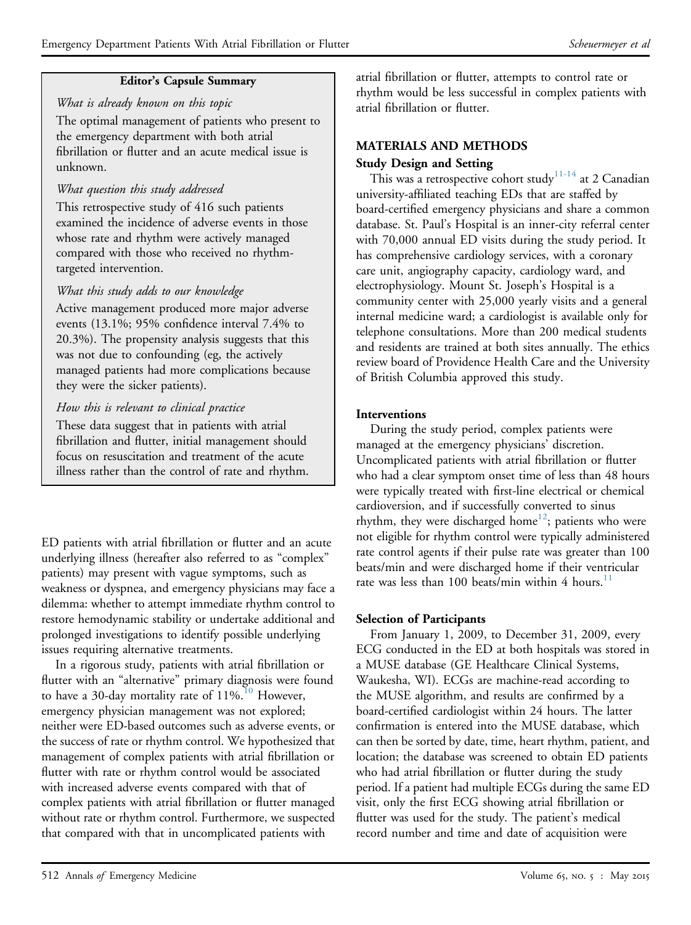## Editor's Capsule Summary

What is already known on this topic The optimal management of patients who present to the emergency department with both atrial fibrillation or flutter and an acute medical issue is unknown.

## What question this study addressed

This retrospective study of 416 such patients examined the incidence of adverse events in those whose rate and rhythm were actively managed compared with those who received no rhythmtargeted intervention.

## What this study adds to our knowledge

Active management produced more major adverse events (13.1%; 95% confidence interval 7.4% to 20.3%). The propensity analysis suggests that this was not due to confounding (eg, the actively managed patients had more complications because they were the sicker patients).

## How this is relevant to clinical practice

These data suggest that in patients with atrial fibrillation and flutter, initial management should focus on resuscitation and treatment of the acute illness rather than the control of rate and rhythm.

ED patients with atrial fibrillation or flutter and an acute underlying illness (hereafter also referred to as "complex" patients) may present with vague symptoms, such as weakness or dyspnea, and emergency physicians may face a dilemma: whether to attempt immediate rhythm control to restore hemodynamic stability or undertake additional and prolonged investigations to identify possible underlying issues requiring alternative treatments.

In a rigorous study, patients with atrial fibrillation or flutter with an "alternative" primary diagnosis were found to have a 30-day mortality rate of  $11\%$ .<sup>10</sup> However, emergency physician management was not explored; neither were ED-based outcomes such as adverse events, or the success of rate or rhythm control. We hypothesized that management of complex patients with atrial fibrillation or flutter with rate or rhythm control would be associated with increased adverse events compared with that of complex patients with atrial fibrillation or flutter managed without rate or rhythm control. Furthermore, we suspected that compared with that in uncomplicated patients with

atrial fibrillation or flutter, attempts to control rate or rhythm would be less successful in complex patients with atrial fibrillation or flutter.

# MATERIALS AND METHODS

## Study Design and Setting

This was a retrospective cohort study<sup>11-14</sup> at 2 Canadian university-affiliated teaching EDs that are staffed by board-certified emergency physicians and share a common database. St. Paul's Hospital is an inner-city referral center with 70,000 annual ED visits during the study period. It has comprehensive cardiology services, with a coronary care unit, angiography capacity, cardiology ward, and electrophysiology. Mount St. Joseph's Hospital is a community center with 25,000 yearly visits and a general internal medicine ward; a cardiologist is available only for telephone consultations. More than 200 medical students and residents are trained at both sites annually. The ethics review board of Providence Health Care and the University of British Columbia approved this study.

## Interventions

During the study period, complex patients were managed at the emergency physicians' discretion. Uncomplicated patients with atrial fibrillation or flutter who had a clear symptom onset time of less than 48 hours were typically treated with first-line electrical or chemical cardioversion, and if successfully converted to sinus rhythm, they were discharged home<sup>12</sup>; patients who were not eligible for rhythm control were typically administered rate control agents if their pulse rate was greater than 100 beats/min and were discharged home if their ventricular rate was less than 100 beats/min within 4 hours.<sup>[11](#page-10-6)</sup>

## Selection of Participants

From January 1, 2009, to December 31, 2009, every ECG conducted in the ED at both hospitals was stored in a MUSE database (GE Healthcare Clinical Systems, Waukesha, WI). ECGs are machine-read according to the MUSE algorithm, and results are confirmed by a board-certified cardiologist within 24 hours. The latter confirmation is entered into the MUSE database, which can then be sorted by date, time, heart rhythm, patient, and location; the database was screened to obtain ED patients who had atrial fibrillation or flutter during the study period. If a patient had multiple ECGs during the same ED visit, only the first ECG showing atrial fibrillation or flutter was used for the study. The patient's medical record number and time and date of acquisition were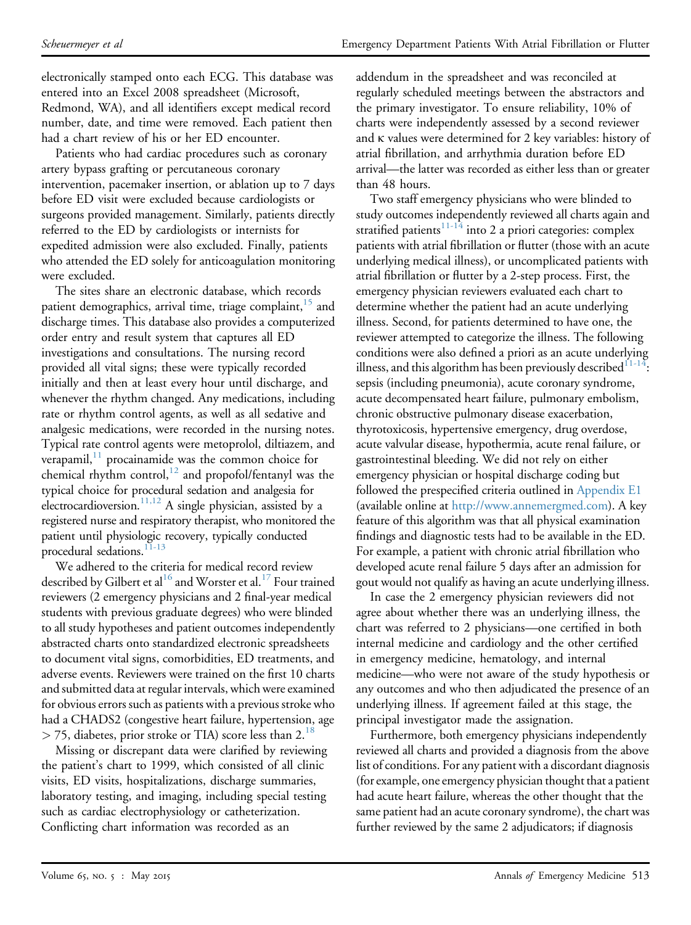electronically stamped onto each ECG. This database was entered into an Excel 2008 spreadsheet (Microsoft, Redmond, WA), and all identifiers except medical record number, date, and time were removed. Each patient then had a chart review of his or her ED encounter.

Patients who had cardiac procedures such as coronary artery bypass grafting or percutaneous coronary intervention, pacemaker insertion, or ablation up to 7 days before ED visit were excluded because cardiologists or surgeons provided management. Similarly, patients directly referred to the ED by cardiologists or internists for expedited admission were also excluded. Finally, patients who attended the ED solely for anticoagulation monitoring were excluded.

The sites share an electronic database, which records patient demographics, arrival time, triage complaint,  $15$  and discharge times. This database also provides a computerized order entry and result system that captures all ED investigations and consultations. The nursing record provided all vital signs; these were typically recorded initially and then at least every hour until discharge, and whenever the rhythm changed. Any medications, including rate or rhythm control agents, as well as all sedative and analgesic medications, were recorded in the nursing notes. Typical rate control agents were metoprolol, diltiazem, and verapamil, $11$  procainamide was the common choice for chemical rhythm control, $^{12}$  and propofol/fentanyl was the typical choice for procedural sedation and analgesia for electrocardioversion.<sup>[11,12](#page-10-6)</sup> A single physician, assisted by a registered nurse and respiratory therapist, who monitored the patient until physiologic recovery, typically conducted procedural sedations. $11-13$ 

We adhered to the criteria for medical record review described by Gilbert et al<sup>[16](#page-11-1)</sup> and Worster et al.<sup>17</sup> Four trained reviewers (2 emergency physicians and 2 final-year medical students with previous graduate degrees) who were blinded to all study hypotheses and patient outcomes independently abstracted charts onto standardized electronic spreadsheets to document vital signs, comorbidities, ED treatments, and adverse events. Reviewers were trained on the first 10 charts and submitted data at regular intervals, which were examined for obvious errors such as patients with a previous stroke who had a CHADS2 (congestive heart failure, hypertension, age  $>$  75, diabetes, prior stroke or TIA) score less than 2.<sup>[18](#page-11-3)</sup>

Missing or discrepant data were clarified by reviewing the patient's chart to 1999, which consisted of all clinic visits, ED visits, hospitalizations, discharge summaries, laboratory testing, and imaging, including special testing such as cardiac electrophysiology or catheterization. Conflicting chart information was recorded as an

addendum in the spreadsheet and was reconciled at regularly scheduled meetings between the abstractors and the primary investigator. To ensure reliability, 10% of charts were independently assessed by a second reviewer and  $\kappa$  values were determined for 2 key variables: history of atrial fibrillation, and arrhythmia duration before ED arrival—the latter was recorded as either less than or greater than 48 hours.

Two staff emergency physicians who were blinded to study outcomes independently reviewed all charts again and stratified patients $11-14$  into 2 a priori categories: complex patients with atrial fibrillation or flutter (those with an acute underlying medical illness), or uncomplicated patients with atrial fibrillation or flutter by a 2-step process. First, the emergency physician reviewers evaluated each chart to determine whether the patient had an acute underlying illness. Second, for patients determined to have one, the reviewer attempted to categorize the illness. The following conditions were also defined a priori as an acute underlying illness, and this algorithm has been previously described $11-14$ : sepsis (including pneumonia), acute coronary syndrome, acute decompensated heart failure, pulmonary embolism, chronic obstructive pulmonary disease exacerbation, thyrotoxicosis, hypertensive emergency, drug overdose, acute valvular disease, hypothermia, acute renal failure, or gastrointestinal bleeding. We did not rely on either emergency physician or hospital discharge coding but followed the prespecified criteria outlined in [Appendix E1](#page-12-0) (available online at [http://www.annemergmed.com\)](http://www.annemergmed.com). A key feature of this algorithm was that all physical examination findings and diagnostic tests had to be available in the ED. For example, a patient with chronic atrial fibrillation who developed acute renal failure 5 days after an admission for gout would not qualify as having an acute underlying illness.

In case the 2 emergency physician reviewers did not agree about whether there was an underlying illness, the chart was referred to 2 physicians—one certified in both internal medicine and cardiology and the other certified in emergency medicine, hematology, and internal medicine—who were not aware of the study hypothesis or any outcomes and who then adjudicated the presence of an underlying illness. If agreement failed at this stage, the principal investigator made the assignation.

Furthermore, both emergency physicians independently reviewed all charts and provided a diagnosis from the above list of conditions. For any patient with a discordant diagnosis (for example, one emergency physician thought that a patient had acute heart failure, whereas the other thought that the same patient had an acute coronary syndrome), the chart was further reviewed by the same 2 adjudicators; if diagnosis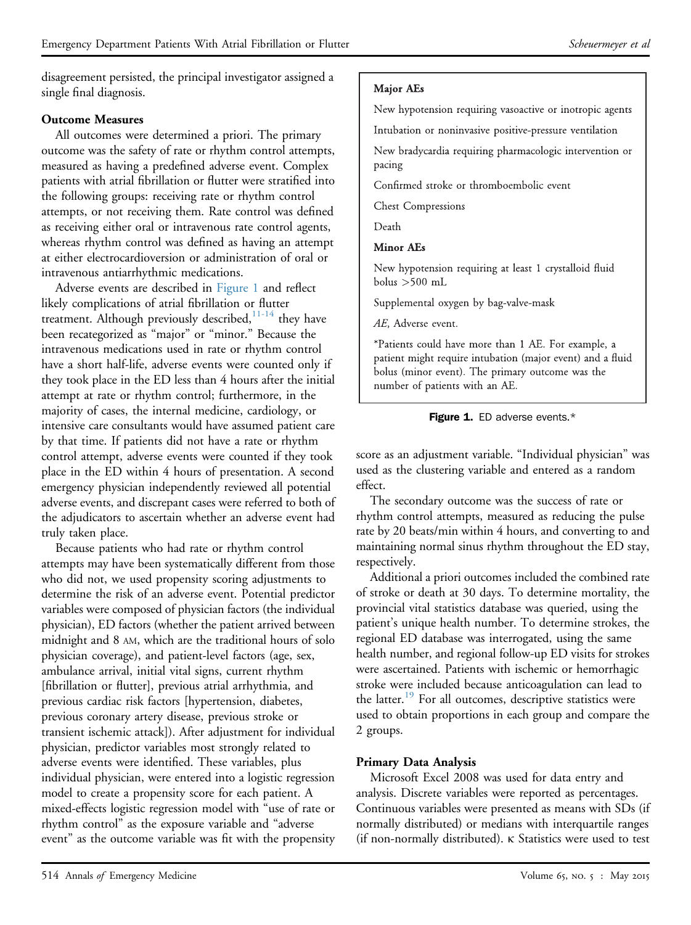disagreement persisted, the principal investigator assigned a single final diagnosis.

#### Outcome Measures

All outcomes were determined a priori. The primary outcome was the safety of rate or rhythm control attempts, measured as having a predefined adverse event. Complex patients with atrial fibrillation or flutter were stratified into the following groups: receiving rate or rhythm control attempts, or not receiving them. Rate control was defined as receiving either oral or intravenous rate control agents, whereas rhythm control was defined as having an attempt at either electrocardioversion or administration of oral or intravenous antiarrhythmic medications.

Adverse events are described in [Figure 1](#page-3-0) and reflect likely complications of atrial fibrillation or flutter treatment. Although previously described,  $11-14$  they have been recategorized as "major" or "minor." Because the intravenous medications used in rate or rhythm control have a short half-life, adverse events were counted only if they took place in the ED less than 4 hours after the initial attempt at rate or rhythm control; furthermore, in the majority of cases, the internal medicine, cardiology, or intensive care consultants would have assumed patient care by that time. If patients did not have a rate or rhythm control attempt, adverse events were counted if they took place in the ED within 4 hours of presentation. A second emergency physician independently reviewed all potential adverse events, and discrepant cases were referred to both of the adjudicators to ascertain whether an adverse event had truly taken place.

Because patients who had rate or rhythm control attempts may have been systematically different from those who did not, we used propensity scoring adjustments to determine the risk of an adverse event. Potential predictor variables were composed of physician factors (the individual physician), ED factors (whether the patient arrived between midnight and 8 AM, which are the traditional hours of solo physician coverage), and patient-level factors (age, sex, ambulance arrival, initial vital signs, current rhythm [fibrillation or flutter], previous atrial arrhythmia, and previous cardiac risk factors [hypertension, diabetes, previous coronary artery disease, previous stroke or transient ischemic attack]). After adjustment for individual physician, predictor variables most strongly related to adverse events were identified. These variables, plus individual physician, were entered into a logistic regression model to create a propensity score for each patient. A mixed-effects logistic regression model with "use of rate or rhythm control" as the exposure variable and "adverse event" as the outcome variable was fit with the propensity

## <span id="page-3-0"></span>**Major AEs**

New hypotension requiring vasoactive or inotropic agents

Intubation or noninvasive positive-pressure ventilation

New bradycardia requiring pharmacologic intervention or pacing

Confirmed stroke or thromboembolic event

**Chest Compressions** 

Death

#### **Minor AEs**

New hypotension requiring at least 1 crystalloid fluid bolus ${>}500\ \rm{mL}$ 

Supplemental oxygen by bag-valve-mask

AE, Adverse event.

\*Patients could have more than 1 AE. For example, a patient might require intubation (major event) and a fluid bolus (minor event). The primary outcome was the number of patients with an AE.



score as an adjustment variable. "Individual physician" was used as the clustering variable and entered as a random effect.

The secondary outcome was the success of rate or rhythm control attempts, measured as reducing the pulse rate by 20 beats/min within 4 hours, and converting to and maintaining normal sinus rhythm throughout the ED stay, respectively.

Additional a priori outcomes included the combined rate of stroke or death at 30 days. To determine mortality, the provincial vital statistics database was queried, using the patient's unique health number. To determine strokes, the regional ED database was interrogated, using the same health number, and regional follow-up ED visits for strokes were ascertained. Patients with ischemic or hemorrhagic stroke were included because anticoagulation can lead to the latter.<sup>19</sup> For all outcomes, descriptive statistics were used to obtain proportions in each group and compare the 2 groups.

## Primary Data Analysis

Microsoft Excel 2008 was used for data entry and analysis. Discrete variables were reported as percentages. Continuous variables were presented as means with SDs (if normally distributed) or medians with interquartile ranges (if non-normally distributed). k Statistics were used to test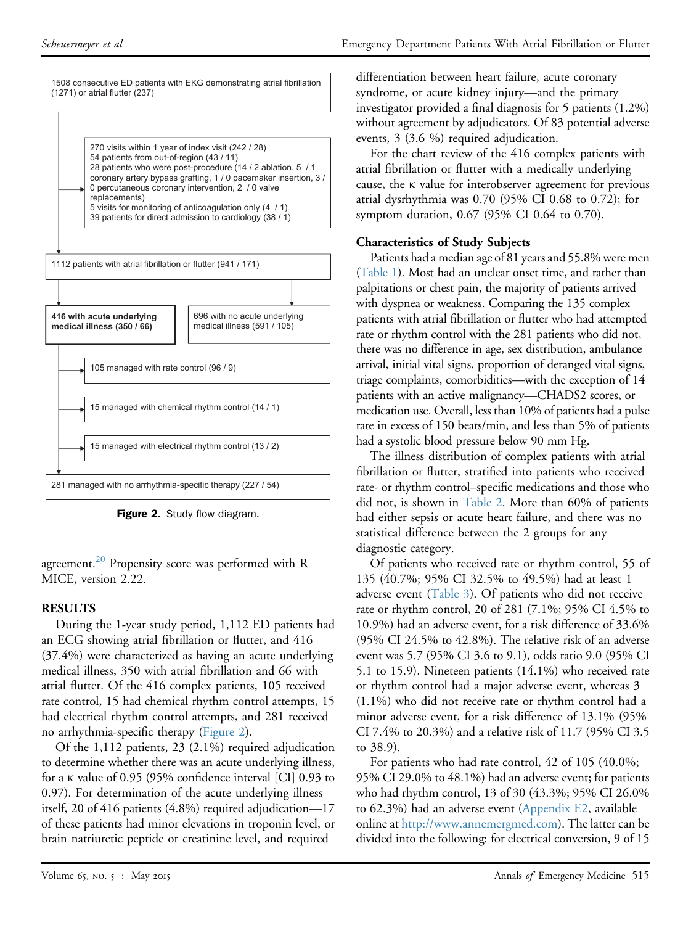<span id="page-4-0"></span>

Figure 2. Study flow diagram.

agreement.<sup>[20](#page-11-5)</sup> Propensity score was performed with R MICE, version 2.22.

#### RESULTS

During the 1-year study period, 1,112 ED patients had an ECG showing atrial fibrillation or flutter, and 416 (37.4%) were characterized as having an acute underlying medical illness, 350 with atrial fibrillation and 66 with atrial flutter. Of the 416 complex patients, 105 received rate control, 15 had chemical rhythm control attempts, 15 had electrical rhythm control attempts, and 281 received no arrhythmia-specific therapy ([Figure 2\)](#page-4-0).

Of the 1,112 patients, 23 (2.1%) required adjudication to determine whether there was an acute underlying illness, for a k value of 0.95 (95% confidence interval [CI] 0.93 to 0.97). For determination of the acute underlying illness itself, 20 of 416 patients (4.8%) required adjudication—17 of these patients had minor elevations in troponin level, or brain natriuretic peptide or creatinine level, and required

differentiation between heart failure, acute coronary syndrome, or acute kidney injury—and the primary investigator provided a final diagnosis for 5 patients (1.2%) without agreement by adjudicators. Of 83 potential adverse events, 3 (3.6 %) required adjudication.

For the chart review of the 416 complex patients with atrial fibrillation or flutter with a medically underlying cause, the k value for interobserver agreement for previous atrial dysrhythmia was 0.70 (95% CI 0.68 to 0.72); for symptom duration, 0.67 (95% CI 0.64 to 0.70).

## Characteristics of Study Subjects

Patients had a median age of 81 years and 55.8% were men ([Table 1\)](#page-5-0). Most had an unclear onset time, and rather than palpitations or chest pain, the majority of patients arrived with dyspnea or weakness. Comparing the 135 complex patients with atrial fibrillation or flutter who had attempted rate or rhythm control with the 281 patients who did not, there was no difference in age, sex distribution, ambulance arrival, initial vital signs, proportion of deranged vital signs, triage complaints, comorbidities—with the exception of 14 patients with an active malignancy—CHADS2 scores, or medication use. Overall, less than 10% of patients had a pulse rate in excess of 150 beats/min, and less than 5% of patients had a systolic blood pressure below 90 mm Hg.

The illness distribution of complex patients with atrial fibrillation or flutter, stratified into patients who received rate- or rhythm control–specific medications and those who did not, is shown in [Table 2](#page-6-0). More than 60% of patients had either sepsis or acute heart failure, and there was no statistical difference between the 2 groups for any diagnostic category.

Of patients who received rate or rhythm control, 55 of 135 (40.7%; 95% CI 32.5% to 49.5%) had at least 1 adverse event ([Table 3\)](#page-7-0). Of patients who did not receive rate or rhythm control, 20 of 281 (7.1%; 95% CI 4.5% to 10.9%) had an adverse event, for a risk difference of 33.6% (95% CI 24.5% to 42.8%). The relative risk of an adverse event was 5.7 (95% CI 3.6 to 9.1), odds ratio 9.0 (95% CI 5.1 to 15.9). Nineteen patients (14.1%) who received rate or rhythm control had a major adverse event, whereas 3 (1.1%) who did not receive rate or rhythm control had a minor adverse event, for a risk difference of 13.1% (95% CI 7.4% to 20.3%) and a relative risk of 11.7 (95% CI 3.5 to 38.9).

For patients who had rate control, 42 of 105 (40.0%; 95% CI 29.0% to 48.1%) had an adverse event; for patients who had rhythm control, 13 of 30 (43.3%; 95% CI 26.0% to 62.3%) had an adverse event [\(Appendix E2,](#page-13-0) available online at <http://www.annemergmed.com>). The latter can be divided into the following: for electrical conversion, 9 of 15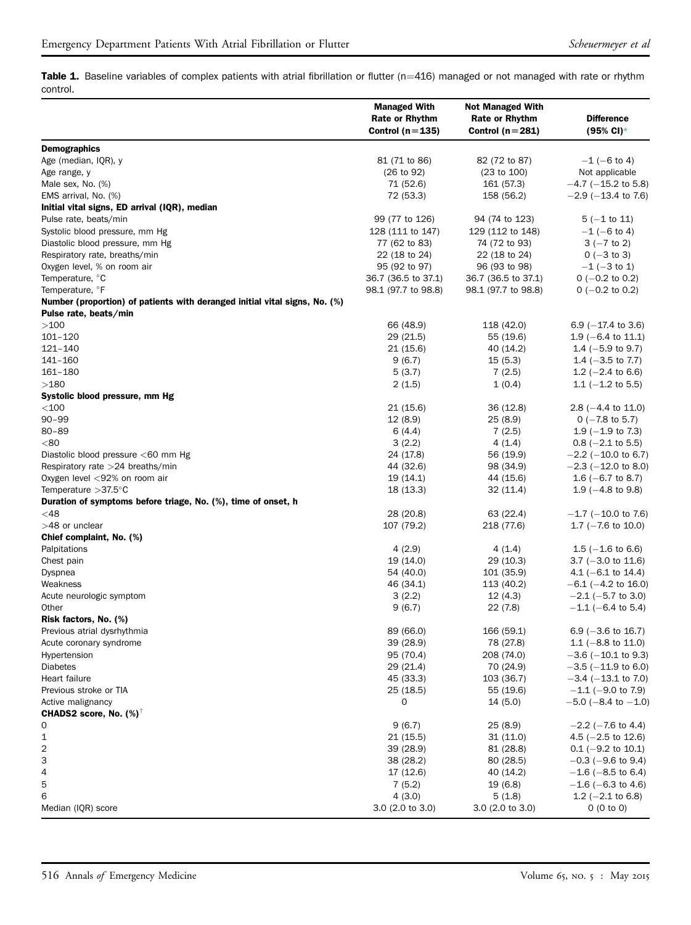<span id="page-5-0"></span>Table 1. Baseline variables of complex patients with atrial fibrillation or flutter (n=416) managed or not managed with rate or rhythm control.

|                                                                            | <b>Managed With</b><br>Rate or Rhythm<br>Control ( $n = 135$ ) | <b>Not Managed With</b><br><b>Rate or Rhythm</b><br>Control ( $n = 281$ ) | <b>Difference</b><br>$(95% Cl)^*$ |
|----------------------------------------------------------------------------|----------------------------------------------------------------|---------------------------------------------------------------------------|-----------------------------------|
| <b>Demographics</b>                                                        |                                                                |                                                                           |                                   |
| Age (median, IQR), y                                                       | 81 (71 to 86)                                                  | 82 (72 to 87)                                                             | $-1$ (-6 to 4)                    |
| Age range, y                                                               | (26 to 92)                                                     | (23 to 100)                                                               | Not applicable                    |
| Male sex, No. (%)                                                          | 71 (52.6)                                                      | 161 (57.3)                                                                | $-4.7$ ( $-15.2$ to 5.8)          |
| EMS arrival, No. (%)                                                       | 72 (53.3)                                                      | 158 (56.2)                                                                | $-2.9$ ( $-13.4$ to 7.6)          |
| Initial vital signs, ED arrival (IQR), median                              |                                                                |                                                                           |                                   |
| Pulse rate, beats/min                                                      | 99 (77 to 126)                                                 | 94 (74 to 123)                                                            | $5(-1)$ to 11                     |
| Systolic blood pressure, mm Hg                                             | 128 (111 to 147)                                               | 129 (112 to 148)                                                          | $-1$ (-6 to 4)                    |
| Diastolic blood pressure, mm Hg                                            | 77 (62 to 83)                                                  | 74 (72 to 93)                                                             | $3(-7 \text{ to } 2)$             |
| Respiratory rate, breaths/min                                              | 22 (18 to 24)                                                  | 22 (18 to 24)                                                             | $0$ (-3 to 3)                     |
| Oxygen level, % on room air                                                | 95 (92 to 97)                                                  | 96 (93 to 98)                                                             | $-1$ ( $-3$ to 1)                 |
| Temperature, °C                                                            | 36.7 (36.5 to 37.1)                                            | 36.7 (36.5 to 37.1)                                                       | $0$ (-0.2 to 0.2)                 |
| Temperature, <sup>o</sup> F                                                | 98.1 (97.7 to 98.8)                                            | 98.1 (97.7 to 98.8)                                                       | $0$ (-0.2 to 0.2)                 |
| Number (proportion) of patients with deranged initial vital signs, No. (%) |                                                                |                                                                           |                                   |
| Pulse rate, beats/min                                                      |                                                                |                                                                           |                                   |
| >100                                                                       | 66 (48.9)                                                      |                                                                           |                                   |
|                                                                            |                                                                | 118 (42.0)<br>55 (19.6)                                                   | 6.9 $(-17.4 \text{ to } 3.6)$     |
| 101-120                                                                    | 29 (21.5)                                                      |                                                                           | 1.9 ( $-6.4$ to 11.1)             |
| 121-140                                                                    | 21 (15.6)                                                      | 40 (14.2)                                                                 | 1.4 $(-5.9 \text{ to } 9.7)$      |
| 141-160                                                                    | 9(6.7)                                                         | 15(5.3)                                                                   | 1.4 $(-3.5 \text{ to } 7.7)$      |
| 161-180                                                                    | 5(3.7)                                                         | 7(2.5)                                                                    | 1.2 ( $-2.4$ to 6.6)              |
| >180                                                                       | 2(1.5)                                                         | 1(0.4)                                                                    | 1.1 $(-1.2$ to 5.5)               |
| Systolic blood pressure, mm Hg                                             |                                                                |                                                                           |                                   |
| $<$ 100                                                                    | 21 (15.6)                                                      | 36 (12.8)                                                                 | $2.8$ (-4.4 to 11.0)              |
| $90 - 99$                                                                  | 12 (8.9)                                                       | 25 (8.9)                                                                  | $0$ (-7.8 to 5.7)                 |
| $80 - 89$                                                                  | 6(4.4)                                                         | 7(2.5)                                                                    | 1.9 $(-1.9$ to 7.3)               |
| < 80                                                                       | 3(2.2)                                                         | 4(1.4)                                                                    | $0.8$ (-2.1 to 5.5)               |
| Diastolic blood pressure $<$ 60 mm Hg                                      | 24 (17.8)                                                      | 56 (19.9)                                                                 | $-2.2$ ( $-10.0$ to 6.7)          |
| Respiratory rate >24 breaths/min                                           | 44 (32.6)                                                      | 98 (34.9)                                                                 | $-2.3$ ( $-12.0$ to 8.0)          |
| Oxygen level $<$ 92% on room air                                           | 19 (14.1)                                                      | 44 (15.6)                                                                 | 1.6 ( $-6.7$ to 8.7)              |
| Temperature $>37.5^{\circ}$ C                                              | 18 (13.3)                                                      | 32 (11.4)                                                                 | 1.9 $(-4.8 \text{ to } 9.8)$      |
| Duration of symptoms before triage, No. (%), time of onset, h              |                                                                |                                                                           |                                   |
| $<$ 48                                                                     | 28 (20.8)                                                      | 63 (22.4)                                                                 | $-1.7$ ( $-10.0$ to 7.6)          |
| $>48$ or unclear                                                           | 107 (79.2)                                                     | 218 (77.6)                                                                | 1.7 ( $-7.6$ to 10.0)             |
| Chief complaint, No. (%)                                                   |                                                                |                                                                           |                                   |
| Palpitations                                                               | 4(2.9)                                                         | 4(1.4)                                                                    | $1.5$ (-1.6 to 6.6)               |
| Chest pain                                                                 | 19 (14.0)                                                      | 29 (10.3)                                                                 | 3.7 $(-3.0 \text{ to } 11.6)$     |
| Dyspnea                                                                    | 54 (40.0)                                                      | 101 (35.9)                                                                | 4.1 ( $-6.1$ to 14.4)             |
| Weakness                                                                   | 46 (34.1)                                                      | 113 (40.2)                                                                | $-6.1$ ( $-4.2$ to 16.0)          |
| Acute neurologic symptom                                                   | 3(2.2)                                                         | 12(4.3)                                                                   | $-2.1$ (-5.7 to 3.0)              |
| Other                                                                      | 9(6.7)                                                         | 22(7.8)                                                                   | $-1.1$ (-6.4 to 5.4)              |
| Risk factors, No. (%)                                                      |                                                                |                                                                           |                                   |
| Previous atrial dysrhythmia                                                | 89 (66.0)                                                      | 166 (59.1)                                                                | 6.9 ( $-3.6$ to 16.7)             |
| Acute coronary syndrome                                                    | 39 (28.9)                                                      | 78 (27.8)                                                                 | 1.1 ( $-8.8$ to 11.0)             |
| Hypertension                                                               | 95 (70.4)                                                      | 208 (74.0)                                                                | $-3.6$ ( $-10.1$ to 9.3)          |
| <b>Diabetes</b>                                                            | 29 (21.4)                                                      | 70 (24.9)                                                                 | $-3.5$ ( $-11.9$ to 6.0)          |
| Heart failure                                                              | 45 (33.3)                                                      | 103 (36.7)                                                                | $-3.4$ ( $-13.1$ to 7.0)          |
| Previous stroke or TIA                                                     | 25(18.5)                                                       | 55 (19.6)                                                                 | $-1.1$ (-9.0 to 7.9)              |
| Active malignancy                                                          | 0                                                              | 14 (5.0)                                                                  | $-5.0$ ( $-8.4$ to $-1.0$ )       |
| CHADS2 score, No. $(\%)^{\top}$                                            |                                                                |                                                                           |                                   |
| 0                                                                          | 9(6.7)                                                         | 25(8.9)                                                                   | $-2.2$ ( $-7.6$ to 4.4)           |
| 1                                                                          | 21(15.5)                                                       | 31 (11.0)                                                                 | 4.5 ( $-2.5$ to 12.6)             |
| 2                                                                          | 39 (28.9)                                                      | 81 (28.8)                                                                 | $0.1$ (-9.2 to 10.1)              |
| 3                                                                          | 38 (28.2)                                                      | 80 (28.5)                                                                 | $-0.3$ ( $-9.6$ to 9.4)           |
| 4                                                                          | 17 (12.6)                                                      | 40 (14.2)                                                                 | $-1.6$ ( $-8.5$ to 6.4)           |
| 5                                                                          | 7(5.2)                                                         | 19 (6.8)                                                                  | $-1.6$ ( $-6.3$ to 4.6)           |
| 6                                                                          | 4(3.0)                                                         | 5(1.8)                                                                    | 1.2 $(-2.1$ to 6.8)               |
| Median (IQR) score                                                         | $3.0$ (2.0 to 3.0)                                             | 3.0 (2.0 to 3.0)                                                          | 0(0 to 0)                         |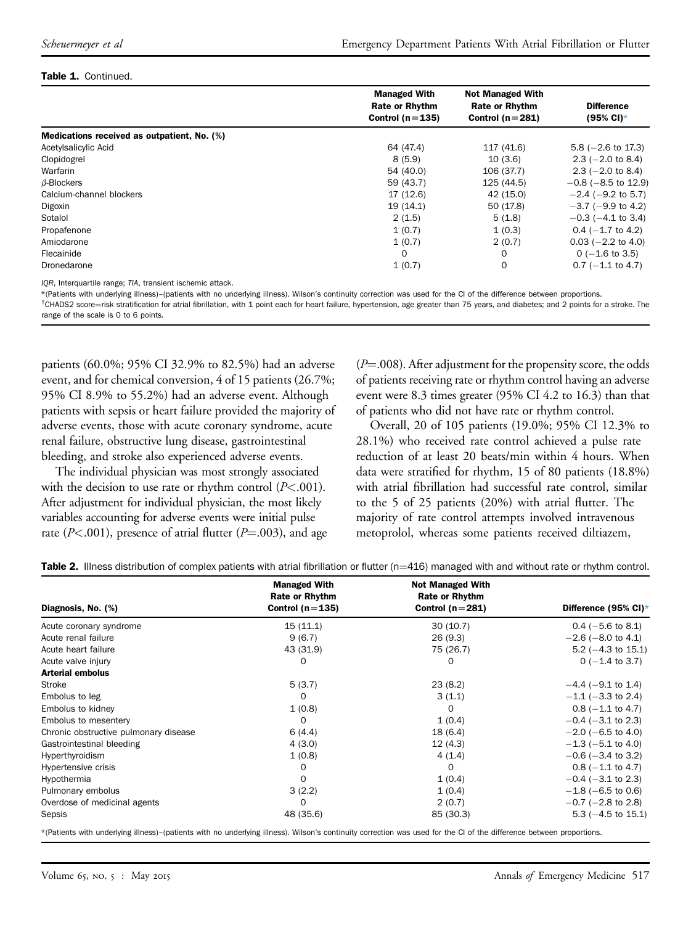#### Table 1. Continued.

|                                             | <b>Managed With</b><br><b>Rate or Rhythm</b><br>Control $(n=135)$ | <b>Not Managed With</b><br><b>Rate or Rhythm</b><br>Control $(n=281)$ | <b>Difference</b><br>$(95% Cl)^*$ |
|---------------------------------------------|-------------------------------------------------------------------|-----------------------------------------------------------------------|-----------------------------------|
| Medications received as outpatient, No. (%) |                                                                   |                                                                       |                                   |
| Acetylsalicylic Acid                        | 64 (47.4)                                                         | 117 (41.6)                                                            | $5.8$ (-2.6 to 17.3)              |
| Clopidogrel                                 | 8(5.9)                                                            | 10(3.6)                                                               | $2.3$ (-2.0 to 8.4)               |
| Warfarin                                    | 54 (40.0)                                                         | 106 (37.7)                                                            | $2.3$ (-2.0 to 8.4)               |
| $\beta$ -Blockers                           | 59 (43.7)                                                         | 125 (44.5)                                                            | $-0.8$ ( $-8.5$ to 12.9)          |
| Calcium-channel blockers                    | 17 (12.6)                                                         | 42 (15.0)                                                             | $-2.4$ ( $-9.2$ to 5.7)           |
| Digoxin                                     | 19 (14.1)                                                         | 50 (17.8)                                                             | $-3.7$ ( $-9.9$ to 4.2)           |
| Sotalol                                     | 2(1.5)                                                            | 5(1.8)                                                                | $-0.3$ ( $-4.1$ to 3.4)           |
| Propafenone                                 | 1(0.7)                                                            | 1(0.3)                                                                | $0.4$ (-1.7 to 4.2)               |
| Amiodarone                                  | 1(0.7)                                                            | 2(0.7)                                                                | $0.03$ (-2.2 to 4.0)              |
| Flecainide                                  | $\Omega$                                                          | 0                                                                     | $0$ (-1.6 to 3.5)                 |
| Dronedarone                                 | 1(0.7)                                                            | 0                                                                     | $0.7$ (-1.1 to 4.7)               |

IQR, Interquartile range; TIA, transient ischemic attack.

<span id="page-6-1"></span>\*(Patients with underlying illness)–(patients with no underlying illness). Wilson's continuity correction was used for the CI of the difference between proportions.

<span id="page-6-2"></span><sup>†</sup>CHADS2 score=risk stratification for atrial fibrillation, with 1 point each for heart failure, hypertension, age greater than 75 years, and diabetes; and 2 points for a stroke. The range of the scale is 0 to 6 points.

patients (60.0%; 95% CI 32.9% to 82.5%) had an adverse event, and for chemical conversion, 4 of 15 patients (26.7%; 95% CI 8.9% to 55.2%) had an adverse event. Although patients with sepsis or heart failure provided the majority of adverse events, those with acute coronary syndrome, acute renal failure, obstructive lung disease, gastrointestinal bleeding, and stroke also experienced adverse events.

The individual physician was most strongly associated with the decision to use rate or rhythm control  $(P<.001)$ . After adjustment for individual physician, the most likely variables accounting for adverse events were initial pulse rate ( $P<$ .001), presence of atrial flutter ( $P=$ .003), and age  $(P=0.008)$ . After adjustment for the propensity score, the odds of patients receiving rate or rhythm control having an adverse event were 8.3 times greater (95% CI 4.2 to 16.3) than that of patients who did not have rate or rhythm control.

Overall, 20 of 105 patients (19.0%; 95% CI 12.3% to 28.1%) who received rate control achieved a pulse rate reduction of at least 20 beats/min within 4 hours. When data were stratified for rhythm, 15 of 80 patients (18.8%) with atrial fibrillation had successful rate control, similar to the 5 of 25 patients (20%) with atrial flutter. The majority of rate control attempts involved intravenous metoprolol, whereas some patients received diltiazem,

<span id="page-6-3"></span>

| Diagnosis, No. (%)                                                                                                                                                   | <b>Managed With</b><br><b>Rate or Rhythm</b><br>Control $(n=135)$ | <b>Not Managed With</b><br><b>Rate or Rhythm</b><br>Control $(n=281)$ | Difference (95% CI) $*$       |
|----------------------------------------------------------------------------------------------------------------------------------------------------------------------|-------------------------------------------------------------------|-----------------------------------------------------------------------|-------------------------------|
| Acute coronary syndrome                                                                                                                                              | 15(11.1)                                                          | 30(10.7)                                                              | $0.4$ (-5.6 to 8.1)           |
| Acute renal failure                                                                                                                                                  | 9(6.7)                                                            | 26(9.3)                                                               | $-2.6$ ( $-8.0$ to 4.1)       |
| Acute heart failure                                                                                                                                                  | 43 (31.9)                                                         | 75 (26.7)                                                             | $5.2$ (-4.3 to 15.1)          |
| Acute valve injury                                                                                                                                                   | 0                                                                 | 0                                                                     | $0$ (-1.4 to 3.7)             |
| <b>Arterial embolus</b>                                                                                                                                              |                                                                   |                                                                       |                               |
| <b>Stroke</b>                                                                                                                                                        | 5(3.7)                                                            | 23(8.2)                                                               | $-4.4$ ( $-9.1$ to 1.4)       |
| Embolus to leg                                                                                                                                                       | $\mathbf 0$                                                       | 3(1.1)                                                                | $-1.1$ (-3.3 to 2.4)          |
| Embolus to kidney                                                                                                                                                    | 1(0.8)                                                            | 0                                                                     | $0.8$ (-1.1 to 4.7)           |
| Embolus to mesentery                                                                                                                                                 | $\Omega$                                                          | 1(0.4)                                                                | $-0.4$ ( $-3.1$ to 2.3)       |
| Chronic obstructive pulmonary disease                                                                                                                                | 6(4.4)                                                            | 18(6.4)                                                               | $-2.0$ ( $-6.5$ to 4.0)       |
| Gastrointestinal bleeding                                                                                                                                            | 4(3.0)                                                            | 12(4.3)                                                               | $-1.3$ ( $-5.1$ to 4.0)       |
| Hyperthyroidism                                                                                                                                                      | 1(0.8)                                                            | 4(1.4)                                                                | $-0.6$ ( $-3.4$ to 3.2)       |
| Hypertensive crisis                                                                                                                                                  | 0                                                                 | $\Omega$                                                              | $0.8$ (-1.1 to 4.7)           |
| Hypothermia                                                                                                                                                          | $\Omega$                                                          | 1(0.4)                                                                | $-0.4$ ( $-3.1$ to 2.3)       |
| Pulmonary embolus                                                                                                                                                    | 3(2.2)                                                            | 1(0.4)                                                                | $-1.8$ (-6.5 to 0.6)          |
| Overdose of medicinal agents                                                                                                                                         | $\Omega$                                                          | 2(0.7)                                                                | $-0.7$ ( $-2.8$ to 2.8)       |
| Sepsis                                                                                                                                                               | 48 (35.6)                                                         | 85 (30.3)                                                             | 5.3 $(-4.5 \text{ to } 15.1)$ |
| *(Patients with underlying illness)-(patients with no underlying illness). Wilson's continuity correction was used for the CI of the difference between proportions. |                                                                   |                                                                       |                               |

<span id="page-6-0"></span>Table 2. Illness distribution of complex patients with atrial fibrillation or flutter  $(n=416)$  managed with and without rate or rhythm control.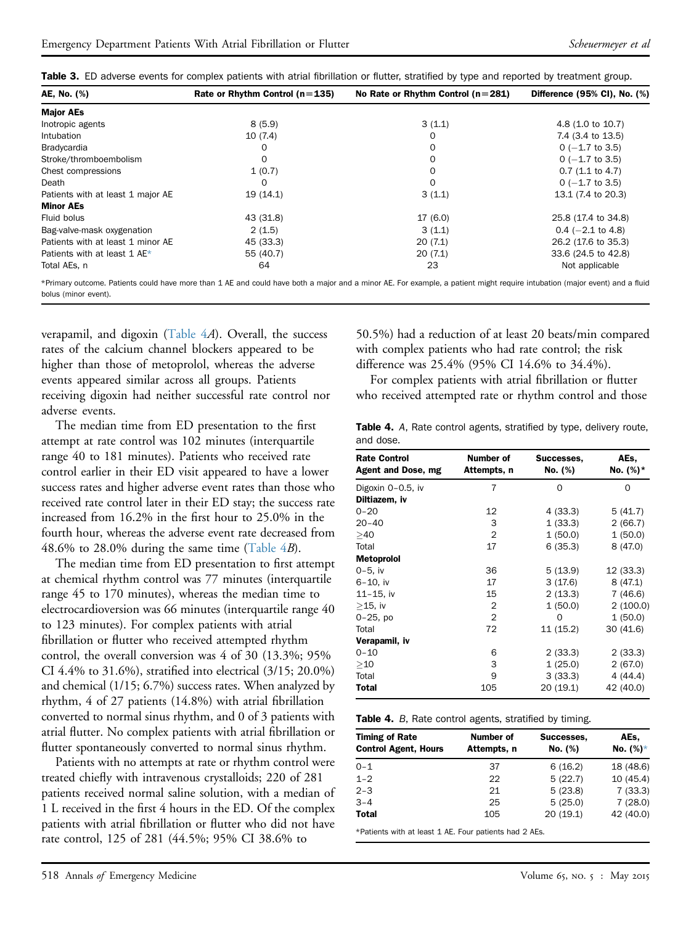<span id="page-7-0"></span>Table 3. ED adverse events for complex patients with atrial fibrillation or flutter, stratified by type and reported by treatment group.

| AE, No. (%)                       | Rate or Rhythm Control $(n=135)$ | No Rate or Rhythm Control $(n=281)$ | Difference (95% CI), No. (%) |
|-----------------------------------|----------------------------------|-------------------------------------|------------------------------|
| <b>Major AEs</b>                  |                                  |                                     |                              |
| Inotropic agents                  | 8(5.9)                           | 3(1.1)                              | 4.8 (1.0 to 10.7)            |
| Intubation                        | 10(7.4)                          | 0                                   | 7.4 (3.4 to 13.5)            |
| Bradycardia                       | 0                                | $\Omega$                            | $0$ (-1.7 to 3.5)            |
| Stroke/thromboembolism            | $\Omega$                         | $\Omega$                            | $0$ (-1.7 to 3.5)            |
| Chest compressions                | 1(0.7)                           | 0                                   | $0.7$ (1.1 to 4.7)           |
| Death                             | $\Omega$                         | $\Omega$                            | $0$ (-1.7 to 3.5)            |
| Patients with at least 1 major AE | 19 (14.1)                        | 3(1.1)                              | 13.1 (7.4 to 20.3)           |
| <b>Minor AEs</b>                  |                                  |                                     |                              |
| Fluid bolus                       | 43 (31.8)                        | 17(6.0)                             | 25.8 (17.4 to 34.8)          |
| Bag-valve-mask oxygenation        | 2(1.5)                           | 3(1.1)                              | $0.4$ (-2.1 to 4.8)          |
| Patients with at least 1 minor AE | 45 (33.3)                        | 20(7.1)                             | 26.2 (17.6 to 35.3)          |
| Patients with at least 1 $AE^*$   | 55 (40.7)                        | 20(7.1)                             | 33.6 (24.5 to 42.8)          |
| Total AEs, n                      | 64                               | 23                                  | Not applicable               |

<span id="page-7-1"></span>\*Primary outcome. Patients could have more than 1 AE and could have both a major and a minor AE. For example, a patient might require intubation (major event) and a fluid bolus (minor event).

verapamil, and digoxin (Table  $4A$ ). Overall, the success rates of the calcium channel blockers appeared to be higher than those of metoprolol, whereas the adverse events appeared similar across all groups. Patients receiving digoxin had neither successful rate control nor adverse events.

The median time from ED presentation to the first attempt at rate control was 102 minutes (interquartile range 40 to 181 minutes). Patients who received rate control earlier in their ED visit appeared to have a lower success rates and higher adverse event rates than those who received rate control later in their ED stay; the success rate increased from 16.2% in the first hour to 25.0% in the fourth hour, whereas the adverse event rate decreased from 48.6% to 28.0% during the same time (Table  $4B$ ).

The median time from ED presentation to first attempt at chemical rhythm control was 77 minutes (interquartile range 45 to 170 minutes), whereas the median time to electrocardioversion was 66 minutes (interquartile range 40 to 123 minutes). For complex patients with atrial fibrillation or flutter who received attempted rhythm control, the overall conversion was 4 of 30 (13.3%; 95% CI 4.4% to 31.6%), stratified into electrical (3/15; 20.0%) and chemical (1/15; 6.7%) success rates. When analyzed by rhythm, 4 of 27 patients (14.8%) with atrial fibrillation converted to normal sinus rhythm, and 0 of 3 patients with atrial flutter. No complex patients with atrial fibrillation or flutter spontaneously converted to normal sinus rhythm.

Patients with no attempts at rate or rhythm control were treated chiefly with intravenous crystalloids; 220 of 281 patients received normal saline solution, with a median of 1 L received in the first 4 hours in the ED. Of the complex patients with atrial fibrillation or flutter who did not have rate control, 125 of 281 (44.5%; 95% CI 38.6% to

50.5%) had a reduction of at least 20 beats/min compared with complex patients who had rate control; the risk difference was 25.4% (95% CI 14.6% to 34.4%).

For complex patients with atrial fibrillation or flutter who received attempted rate or rhythm control and those

| <b>Table 4.</b> A, Rate control agents, stratified by type, delivery route, |  |  |  |  |  |
|-----------------------------------------------------------------------------|--|--|--|--|--|
| and dose.                                                                   |  |  |  |  |  |

| <b>Rate Control</b> | <b>Number of</b> | Successes, | AEs,         |
|---------------------|------------------|------------|--------------|
| Agent and Dose, mg  | Attempts, n      | No. (%)    | No. $(\%)^*$ |
| Digoxin 0-0.5, iv   | 7                | $\Omega$   | Ω            |
| Diltiazem, iv       |                  |            |              |
| $0 - 20$            | 12               | 4(33.3)    | 5(41.7)      |
| $20 - 40$           | 3                | 1(33.3)    | 2(66.7)      |
| >40                 | 2                | 1(50.0)    | 1(50.0)      |
| Total               | 17               | 6(35.3)    | 8(47.0)      |
| <b>Metoprolol</b>   |                  |            |              |
| $0 - 5.$ iv         | 36               | 5(13.9)    | 12(33.3)     |
| $6 - 10$ , iv       | 17               | 3(17.6)    | 8(47.1)      |
| $11 - 15$ , iv      | 15               | 2(13.3)    | 7(46.6)      |
| $>15$ , iv          | 2                | 1(50.0)    | 2(100.0)     |
| $0 - 25$ , po       | $\overline{2}$   | $\Omega$   | 1(50.0)      |
| Total               | 72               | 11 (15.2)  | 30(41.6)     |
| Verapamil, iv       |                  |            |              |
| $0 - 10$            | 6                | 2(33.3)    | 2(33.3)      |
| >10                 | 3                | 1(25.0)    | 2(67.0)      |
| Total               | 9                | 3(33.3)    | 4(44.4)      |
| Total               | 105              | 20(19.1)   | 42 (40.0)    |

|  |  |  | Table 4. B, Rate control agents, stratified by timing. |
|--|--|--|--------------------------------------------------------|
|  |  |  |                                                        |

| Timing of Rate<br><b>Control Agent, Hours</b> | <b>Number of</b><br>Attempts, n | Successes,<br>No. (%) | AEs.<br>No. $(\%)^*$ |
|-----------------------------------------------|---------------------------------|-----------------------|----------------------|
| 0-1                                           | 37                              | 6(16.2)               | 18 (48.6)            |
| $1 - 2$                                       | 22                              | 5(22.7)               | 10(45.4)             |
| $2 - 3$                                       | 21                              | 5(23.8)               | 7(33.3)              |
| $3 - 4$                                       | 25                              | 5(25.0)               | 7(28.0)              |
| Total                                         | 105                             | 20(19.1)              | 42 (40.0)            |

<span id="page-7-2"></span>\*Patients with at least 1 AE. Four patients had 2 AEs.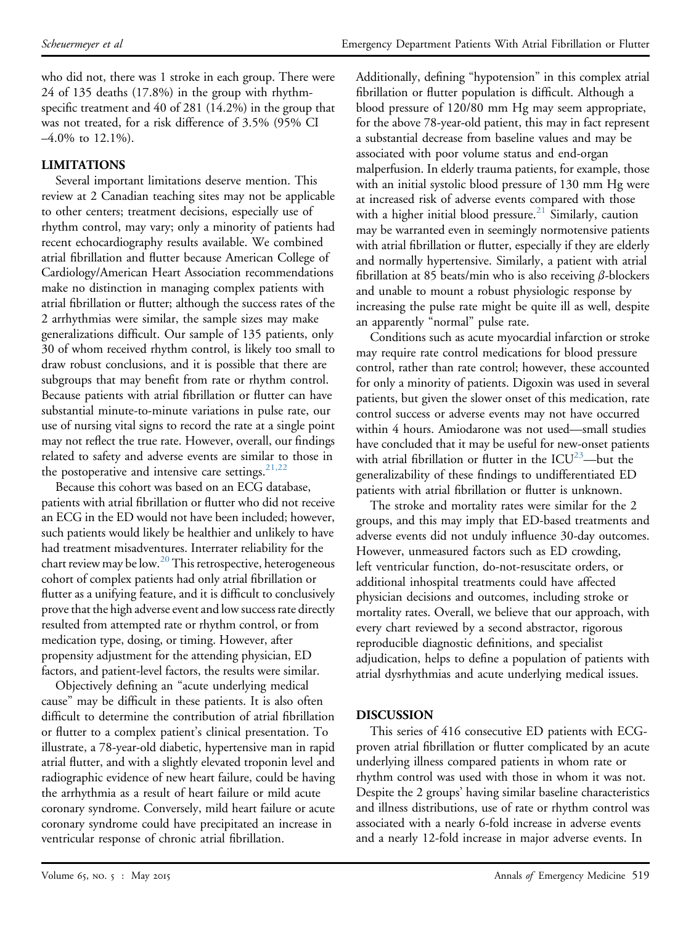who did not, there was 1 stroke in each group. There were 24 of 135 deaths (17.8%) in the group with rhythmspecific treatment and 40 of 281 (14.2%) in the group that was not treated, for a risk difference of 3.5% (95% CI  $-4.0\%$  to 12.1%).

# LIMITATIONS

Several important limitations deserve mention. This review at 2 Canadian teaching sites may not be applicable to other centers; treatment decisions, especially use of rhythm control, may vary; only a minority of patients had recent echocardiography results available. We combined atrial fibrillation and flutter because American College of Cardiology/American Heart Association recommendations make no distinction in managing complex patients with atrial fibrillation or flutter; although the success rates of the 2 arrhythmias were similar, the sample sizes may make generalizations difficult. Our sample of 135 patients, only 30 of whom received rhythm control, is likely too small to draw robust conclusions, and it is possible that there are subgroups that may benefit from rate or rhythm control. Because patients with atrial fibrillation or flutter can have substantial minute-to-minute variations in pulse rate, our use of nursing vital signs to record the rate at a single point may not reflect the true rate. However, overall, our findings related to safety and adverse events are similar to those in the postoperative and intensive care settings. $21,22$ 

Because this cohort was based on an ECG database, patients with atrial fibrillation or flutter who did not receive an ECG in the ED would not have been included; however, such patients would likely be healthier and unlikely to have had treatment misadventures. Interrater reliability for the chart review may be low.  $^{20}$  $^{20}$  $^{20}$  This retrospective, heterogeneous cohort of complex patients had only atrial fibrillation or flutter as a unifying feature, and it is difficult to conclusively prove that the high adverse event and low success rate directly resulted from attempted rate or rhythm control, or from medication type, dosing, or timing. However, after propensity adjustment for the attending physician, ED factors, and patient-level factors, the results were similar.

Objectively defining an "acute underlying medical cause" may be difficult in these patients. It is also often difficult to determine the contribution of atrial fibrillation or flutter to a complex patient's clinical presentation. To illustrate, a 78-year-old diabetic, hypertensive man in rapid atrial flutter, and with a slightly elevated troponin level and radiographic evidence of new heart failure, could be having the arrhythmia as a result of heart failure or mild acute coronary syndrome. Conversely, mild heart failure or acute coronary syndrome could have precipitated an increase in ventricular response of chronic atrial fibrillation.

Additionally, defining "hypotension" in this complex atrial fibrillation or flutter population is difficult. Although a blood pressure of 120/80 mm Hg may seem appropriate, for the above 78-year-old patient, this may in fact represent a substantial decrease from baseline values and may be associated with poor volume status and end-organ malperfusion. In elderly trauma patients, for example, those with an initial systolic blood pressure of 130 mm Hg were at increased risk of adverse events compared with those with a higher initial blood pressure.<sup>21</sup> Similarly, caution may be warranted even in seemingly normotensive patients with atrial fibrillation or flutter, especially if they are elderly and normally hypertensive. Similarly, a patient with atrial fibrillation at 85 beats/min who is also receiving  $\beta$ -blockers and unable to mount a robust physiologic response by increasing the pulse rate might be quite ill as well, despite an apparently "normal" pulse rate.

Conditions such as acute myocardial infarction or stroke may require rate control medications for blood pressure control, rather than rate control; however, these accounted for only a minority of patients. Digoxin was used in several patients, but given the slower onset of this medication, rate control success or adverse events may not have occurred within 4 hours. Amiodarone was not used—small studies have concluded that it may be useful for new-onset patients with atrial fibrillation or flutter in the  $ICU^{23}$  $ICU^{23}$  $ICU^{23}$ —but the generalizability of these findings to undifferentiated ED patients with atrial fibrillation or flutter is unknown.

The stroke and mortality rates were similar for the 2 groups, and this may imply that ED-based treatments and adverse events did not unduly influence 30-day outcomes. However, unmeasured factors such as ED crowding, left ventricular function, do-not-resuscitate orders, or additional inhospital treatments could have affected physician decisions and outcomes, including stroke or mortality rates. Overall, we believe that our approach, with every chart reviewed by a second abstractor, rigorous reproducible diagnostic definitions, and specialist adjudication, helps to define a population of patients with atrial dysrhythmias and acute underlying medical issues.

# DISCUSSION

This series of 416 consecutive ED patients with ECGproven atrial fibrillation or flutter complicated by an acute underlying illness compared patients in whom rate or rhythm control was used with those in whom it was not. Despite the 2 groups' having similar baseline characteristics and illness distributions, use of rate or rhythm control was associated with a nearly 6-fold increase in adverse events and a nearly 12-fold increase in major adverse events. In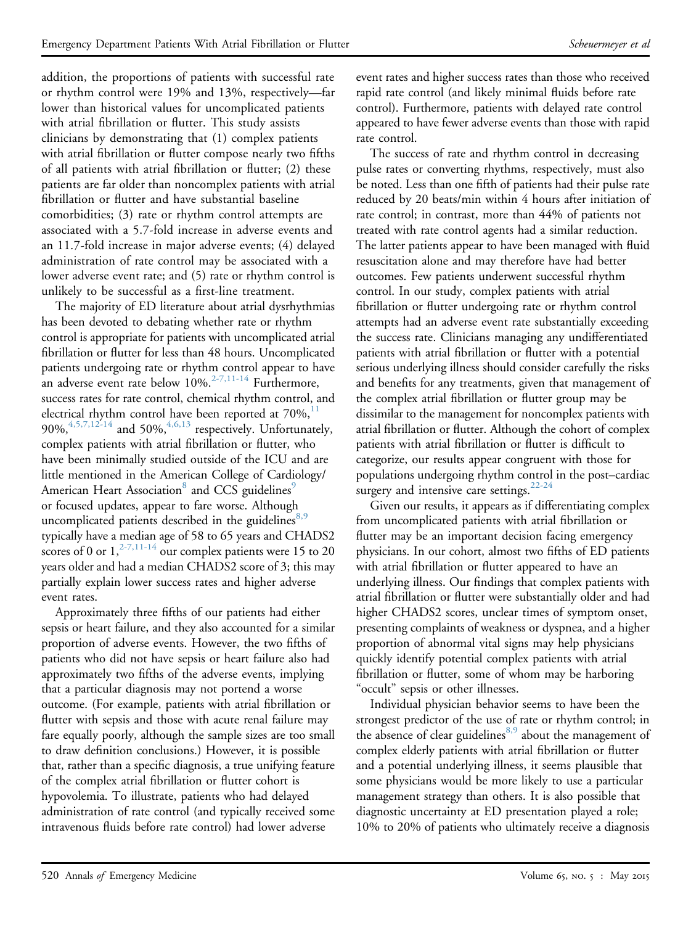addition, the proportions of patients with successful rate or rhythm control were 19% and 13%, respectively—far lower than historical values for uncomplicated patients with atrial fibrillation or flutter. This study assists clinicians by demonstrating that (1) complex patients with atrial fibrillation or flutter compose nearly two fifths of all patients with atrial fibrillation or flutter; (2) these patients are far older than noncomplex patients with atrial fibrillation or flutter and have substantial baseline comorbidities; (3) rate or rhythm control attempts are associated with a 5.7-fold increase in adverse events and an 11.7-fold increase in major adverse events; (4) delayed administration of rate control may be associated with a lower adverse event rate; and (5) rate or rhythm control is unlikely to be successful as a first-line treatment.

The majority of ED literature about atrial dysrhythmias has been devoted to debating whether rate or rhythm control is appropriate for patients with uncomplicated atrial fibrillation or flutter for less than 48 hours. Uncomplicated patients undergoing rate or rhythm control appear to have an adverse event rate below  $10\%$ .<sup>[2-7,11-14](#page-10-1)</sup> Furthermore, success rates for rate control, chemical rhythm control, and electrical rhythm control have been reported at  $70\%$ ,  $^{11}$  $^{11}$  $^{11}$ 90%, $4,5,7,12-14$  and 50%, $4,6,13$  respectively. Unfortunately, complex patients with atrial fibrillation or flutter, who have been minimally studied outside of the ICU and are little mentioned in the American College of Cardiology/ American Heart Association<sup>8</sup> and CCS guidelines<sup>[9](#page-10-4)</sup> or focused updates, appear to fare worse. Although uncomplicated patients described in the guidelines<sup>[8,9](#page-10-3)</sup> typically have a median age of 58 to 65 years and CHADS2 scores of 0 or  $1,^{2-7,11-14}$  $1,^{2-7,11-14}$  $1,^{2-7,11-14}$  our complex patients were 15 to 20 years older and had a median CHADS2 score of 3; this may partially explain lower success rates and higher adverse event rates.

Approximately three fifths of our patients had either sepsis or heart failure, and they also accounted for a similar proportion of adverse events. However, the two fifths of patients who did not have sepsis or heart failure also had approximately two fifths of the adverse events, implying that a particular diagnosis may not portend a worse outcome. (For example, patients with atrial fibrillation or flutter with sepsis and those with acute renal failure may fare equally poorly, although the sample sizes are too small to draw definition conclusions.) However, it is possible that, rather than a specific diagnosis, a true unifying feature of the complex atrial fibrillation or flutter cohort is hypovolemia. To illustrate, patients who had delayed administration of rate control (and typically received some intravenous fluids before rate control) had lower adverse

event rates and higher success rates than those who received rapid rate control (and likely minimal fluids before rate control). Furthermore, patients with delayed rate control appeared to have fewer adverse events than those with rapid rate control.

The success of rate and rhythm control in decreasing pulse rates or converting rhythms, respectively, must also be noted. Less than one fifth of patients had their pulse rate reduced by 20 beats/min within 4 hours after initiation of rate control; in contrast, more than 44% of patients not treated with rate control agents had a similar reduction. The latter patients appear to have been managed with fluid resuscitation alone and may therefore have had better outcomes. Few patients underwent successful rhythm control. In our study, complex patients with atrial fibrillation or flutter undergoing rate or rhythm control attempts had an adverse event rate substantially exceeding the success rate. Clinicians managing any undifferentiated patients with atrial fibrillation or flutter with a potential serious underlying illness should consider carefully the risks and benefits for any treatments, given that management of the complex atrial fibrillation or flutter group may be dissimilar to the management for noncomplex patients with atrial fibrillation or flutter. Although the cohort of complex patients with atrial fibrillation or flutter is difficult to categorize, our results appear congruent with those for populations undergoing rhythm control in the post–cardiac surgery and intensive care settings.  $22-24$ 

Given our results, it appears as if differentiating complex from uncomplicated patients with atrial fibrillation or flutter may be an important decision facing emergency physicians. In our cohort, almost two fifths of ED patients with atrial fibrillation or flutter appeared to have an underlying illness. Our findings that complex patients with atrial fibrillation or flutter were substantially older and had higher CHADS2 scores, unclear times of symptom onset, presenting complaints of weakness or dyspnea, and a higher proportion of abnormal vital signs may help physicians quickly identify potential complex patients with atrial fibrillation or flutter, some of whom may be harboring "occult" sepsis or other illnesses.

Individual physician behavior seems to have been the strongest predictor of the use of rate or rhythm control; in the absence of clear guidelines<sup>8,9</sup> about the management of complex elderly patients with atrial fibrillation or flutter and a potential underlying illness, it seems plausible that some physicians would be more likely to use a particular management strategy than others. It is also possible that diagnostic uncertainty at ED presentation played a role; 10% to 20% of patients who ultimately receive a diagnosis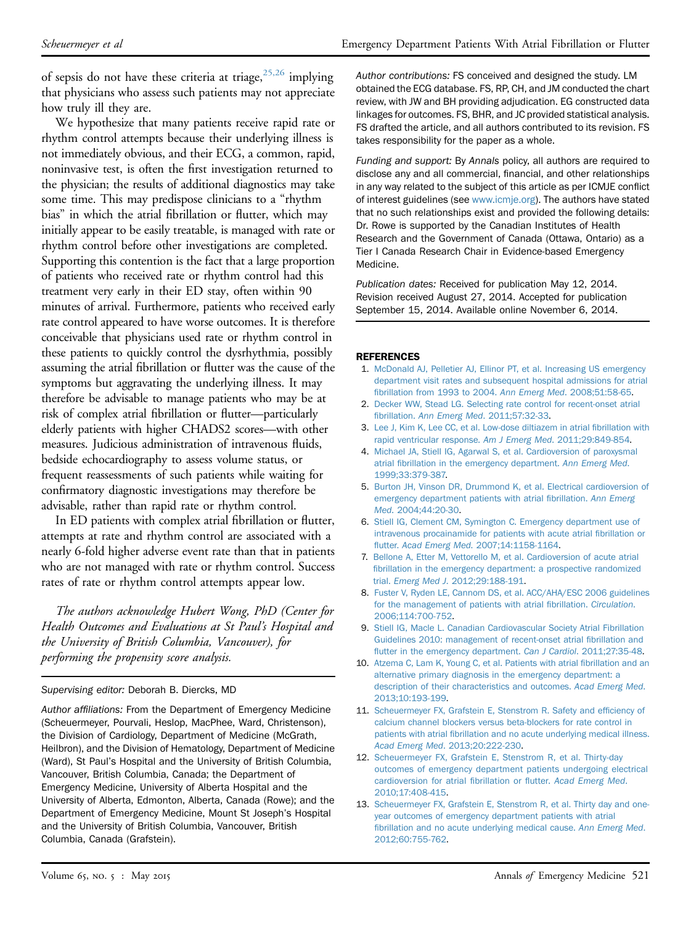of sepsis do not have these criteria at triage, $25,26$  implying that physicians who assess such patients may not appreciate how truly ill they are.

We hypothesize that many patients receive rapid rate or rhythm control attempts because their underlying illness is not immediately obvious, and their ECG, a common, rapid, noninvasive test, is often the first investigation returned to the physician; the results of additional diagnostics may take some time. This may predispose clinicians to a "rhythm bias" in which the atrial fibrillation or flutter, which may initially appear to be easily treatable, is managed with rate or rhythm control before other investigations are completed. Supporting this contention is the fact that a large proportion of patients who received rate or rhythm control had this treatment very early in their ED stay, often within 90 minutes of arrival. Furthermore, patients who received early rate control appeared to have worse outcomes. It is therefore conceivable that physicians used rate or rhythm control in these patients to quickly control the dysrhythmia, possibly assuming the atrial fibrillation or flutter was the cause of the symptoms but aggravating the underlying illness. It may therefore be advisable to manage patients who may be at risk of complex atrial fibrillation or flutter—particularly elderly patients with higher CHADS2 scores—with other measures. Judicious administration of intravenous fluids, bedside echocardiography to assess volume status, or frequent reassessments of such patients while waiting for confirmatory diagnostic investigations may therefore be advisable, rather than rapid rate or rhythm control.

In ED patients with complex atrial fibrillation or flutter, attempts at rate and rhythm control are associated with a nearly 6-fold higher adverse event rate than that in patients who are not managed with rate or rhythm control. Success rates of rate or rhythm control attempts appear low.

The authors acknowledge Hubert Wong, PhD (Center for Health Outcomes and Evaluations at St Paul's Hospital and the University of British Columbia, Vancouver), for performing the propensity score analysis.

#### Supervising editor: Deborah B. Diercks, MD

Author affiliations: From the Department of Emergency Medicine (Scheuermeyer, Pourvali, Heslop, MacPhee, Ward, Christenson), the Division of Cardiology, Department of Medicine (McGrath, Heilbron), and the Division of Hematology, Department of Medicine (Ward), St Paul's Hospital and the University of British Columbia, Vancouver, British Columbia, Canada; the Department of Emergency Medicine, University of Alberta Hospital and the University of Alberta, Edmonton, Alberta, Canada (Rowe); and the Department of Emergency Medicine, Mount St Joseph's Hospital and the University of British Columbia, Vancouver, British Columbia, Canada (Grafstein).

Author contributions: FS conceived and designed the study. LM obtained the ECG database. FS, RP, CH, and JM conducted the chart review, with JW and BH providing adjudication. EG constructed data linkages for outcomes. FS, BHR, and JC provided statistical analysis. FS drafted the article, and all authors contributed to its revision. FS takes responsibility for the paper as a whole.

Funding and support: By Annals policy, all authors are required to disclose any and all commercial, financial, and other relationships in any way related to the subject of this article as per ICMJE conflict of interest guidelines (see [www.icmje.org](http://www.icmje.org/)). The authors have stated that no such relationships exist and provided the following details: Dr. Rowe is supported by the Canadian Institutes of Health Research and the Government of Canada (Ottawa, Ontario) as a Tier I Canada Research Chair in Evidence-based Emergency Medicine.

Publication dates: Received for publication May 12, 2014. Revision received August 27, 2014. Accepted for publication September 15, 2014. Available online November 6, 2014.

#### <span id="page-10-0"></span>REFERENCES

- 1. [McDonald AJ, Pelletier AJ, Ellinor PT, et al. Increasing US emergency](http://refhub.elsevier.com/S0196-0644(14)01298-0/sref1) [department visit rates and subsequent hospital admissions for atrial](http://refhub.elsevier.com/S0196-0644(14)01298-0/sref1) fi[brillation from 1993 to 2004.](http://refhub.elsevier.com/S0196-0644(14)01298-0/sref1) Ann Emerg Med. 2008;51:58-65.
- <span id="page-10-1"></span>2. [Decker WW, Stead LG. Selecting rate control for recent-onset atrial](http://refhub.elsevier.com/S0196-0644(14)01298-0/sref2) fibrillation. Ann Emerg Med[. 2011;57:32-33.](http://refhub.elsevier.com/S0196-0644(14)01298-0/sref2)
- 3. [Lee J, Kim K, Lee CC, et al. Low-dose diltiazem in atrial](http://refhub.elsevier.com/S0196-0644(14)01298-0/sref3) fibrillation with [rapid ventricular response.](http://refhub.elsevier.com/S0196-0644(14)01298-0/sref3) Am J Emerg Med. 2011;29:849-854.
- <span id="page-10-2"></span>4. [Michael JA, Stiell IG, Agarwal S, et al. Cardioversion of paroxysmal](http://refhub.elsevier.com/S0196-0644(14)01298-0/sref4) atrial fi[brillation in the emergency department.](http://refhub.elsevier.com/S0196-0644(14)01298-0/sref4) Ann Emerg Med. [1999;33:379-387.](http://refhub.elsevier.com/S0196-0644(14)01298-0/sref4)
- <span id="page-10-8"></span>5. [Burton JH, Vinson DR, Drummond K, et al. Electrical cardioversion of](http://refhub.elsevier.com/S0196-0644(14)01298-0/sref5) [emergency department patients with atrial](http://refhub.elsevier.com/S0196-0644(14)01298-0/sref5) fibrillation. Ann Emerg Med[. 2004;44:20-30.](http://refhub.elsevier.com/S0196-0644(14)01298-0/sref5)
- <span id="page-10-9"></span>6. [Stiell IG, Clement CM, Symington C. Emergency department use of](http://refhub.elsevier.com/S0196-0644(14)01298-0/sref6) [intravenous procainamide for patients with acute atrial](http://refhub.elsevier.com/S0196-0644(14)01298-0/sref6) fibrillation or flutter. Acad Emerg Med[. 2007;14:1158-1164.](http://refhub.elsevier.com/S0196-0644(14)01298-0/sref6)
- <span id="page-10-10"></span>7. [Bellone A, Etter M, Vettorello M, et al. Cardioversion of acute atrial](http://refhub.elsevier.com/S0196-0644(14)01298-0/sref7) fi[brillation in the emergency department: a prospective randomized](http://refhub.elsevier.com/S0196-0644(14)01298-0/sref7) trial. Emerg Med J[. 2012;29:188-191.](http://refhub.elsevier.com/S0196-0644(14)01298-0/sref7)
- <span id="page-10-3"></span>8. [Fuster V, Ryden LE, Cannom DS, et al. ACC/AHA/ESC 2006 guidelines](http://refhub.elsevier.com/S0196-0644(14)01298-0/sref8) [for the management of patients with atrial](http://refhub.elsevier.com/S0196-0644(14)01298-0/sref8) fibrillation. Circulation. [2006;114:700-752.](http://refhub.elsevier.com/S0196-0644(14)01298-0/sref8)
- <span id="page-10-4"></span>9. [Stiell IG, Macle L. Canadian Cardiovascular Society Atrial Fibrillation](http://refhub.elsevier.com/S0196-0644(14)01298-0/sref9d) [Guidelines 2010: management of recent-onset atrial](http://refhub.elsevier.com/S0196-0644(14)01298-0/sref9d) fibrillation and fl[utter in the emergency department.](http://refhub.elsevier.com/S0196-0644(14)01298-0/sref9d) Can J Cardiol. 2011;27:35-48.
- <span id="page-10-5"></span>10. [Atzema C, Lam K, Young C, et al. Patients with atrial](http://refhub.elsevier.com/S0196-0644(14)01298-0/sref9) fibrillation and an [alternative primary diagnosis in the emergency department: a](http://refhub.elsevier.com/S0196-0644(14)01298-0/sref9) [description of their characteristics and outcomes.](http://refhub.elsevier.com/S0196-0644(14)01298-0/sref9) Acad Emerg Med. [2013;10:193-199.](http://refhub.elsevier.com/S0196-0644(14)01298-0/sref9)
- <span id="page-10-6"></span>11. [Scheuermeyer FX, Grafstein E, Stenstrom R. Safety and ef](http://refhub.elsevier.com/S0196-0644(14)01298-0/sref10)ficiency of [calcium channel blockers versus beta-blockers for rate control in](http://refhub.elsevier.com/S0196-0644(14)01298-0/sref10) patients with atrial fi[brillation and no acute underlying medical illness.](http://refhub.elsevier.com/S0196-0644(14)01298-0/sref10) Acad Emerg Med[. 2013;20:222-230](http://refhub.elsevier.com/S0196-0644(14)01298-0/sref10).
- <span id="page-10-7"></span>12. [Scheuermeyer FX, Grafstein E, Stenstrom R, et al. Thirty-day](http://refhub.elsevier.com/S0196-0644(14)01298-0/sref11) [outcomes of emergency department patients undergoing electrical](http://refhub.elsevier.com/S0196-0644(14)01298-0/sref11) [cardioversion for atrial](http://refhub.elsevier.com/S0196-0644(14)01298-0/sref11) fibrillation or flutter. Acad Emerg Med. [2010;17:408-415.](http://refhub.elsevier.com/S0196-0644(14)01298-0/sref11)
- 13. [Scheuermeyer FX, Grafstein E, Stenstrom R, et al. Thirty day and one](http://refhub.elsevier.com/S0196-0644(14)01298-0/sref12)[year outcomes of emergency department patients with atrial](http://refhub.elsevier.com/S0196-0644(14)01298-0/sref12) fi[brillation and no acute underlying medical cause.](http://refhub.elsevier.com/S0196-0644(14)01298-0/sref12) Ann Emerg Med. [2012;60:755-762](http://refhub.elsevier.com/S0196-0644(14)01298-0/sref12).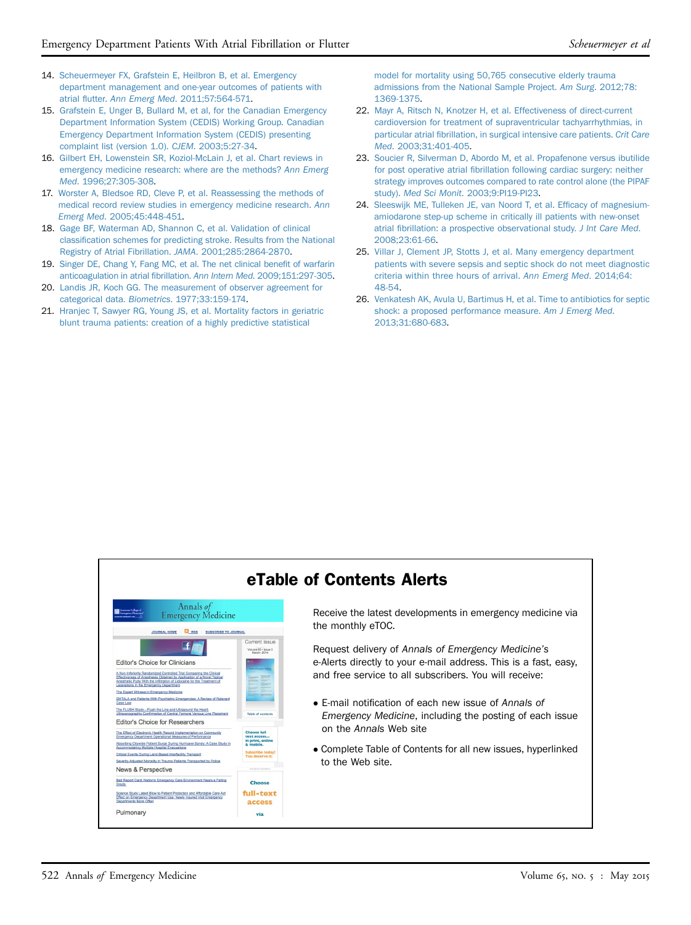- 14. [Scheuermeyer FX, Grafstein E, Heilbron B, et al. Emergency](http://refhub.elsevier.com/S0196-0644(14)01298-0/sref13) [department management and one-year outcomes of patients with](http://refhub.elsevier.com/S0196-0644(14)01298-0/sref13) atrial flutter. Ann Emerg Med[. 2011;57:564-571](http://refhub.elsevier.com/S0196-0644(14)01298-0/sref13).
- <span id="page-11-0"></span>15. [Grafstein E, Unger B, Bullard M, et al, for the Canadian Emergency](http://refhub.elsevier.com/S0196-0644(14)01298-0/sref16) [Department Information System \(CEDIS\) Working Group. Canadian](http://refhub.elsevier.com/S0196-0644(14)01298-0/sref16) [Emergency Department Information System \(CEDIS\) presenting](http://refhub.elsevier.com/S0196-0644(14)01298-0/sref16) [complaint list \(version 1.0\).](http://refhub.elsevier.com/S0196-0644(14)01298-0/sref16) CJEM. 2003;5:27-34.
- <span id="page-11-1"></span>16. [Gilbert EH, Lowenstein SR, Koziol-McLain J, et al. Chart reviews in](http://refhub.elsevier.com/S0196-0644(14)01298-0/sref14) [emergency medicine research: where are the methods?](http://refhub.elsevier.com/S0196-0644(14)01298-0/sref14) Ann Emerg Med[. 1996;27:305-308](http://refhub.elsevier.com/S0196-0644(14)01298-0/sref14).
- <span id="page-11-2"></span>17. [Worster A, Bledsoe RD, Cleve P, et al. Reassessing the methods of](http://refhub.elsevier.com/S0196-0644(14)01298-0/sref15) [medical record review studies in emergency medicine research.](http://refhub.elsevier.com/S0196-0644(14)01298-0/sref15) Ann Emerg Med[. 2005;45:448-451](http://refhub.elsevier.com/S0196-0644(14)01298-0/sref15).
- <span id="page-11-3"></span>18. [Gage BF, Waterman AD, Shannon C, et al. Validation of clinical](http://refhub.elsevier.com/S0196-0644(14)01298-0/sref17) classifi[cation schemes for predicting stroke. Results from the National](http://refhub.elsevier.com/S0196-0644(14)01298-0/sref17) [Registry of Atrial Fibrillation.](http://refhub.elsevier.com/S0196-0644(14)01298-0/sref17) JAMA. 2001;285:2864-2870.
- <span id="page-11-4"></span>19. [Singer DE, Chang Y, Fang MC, et al. The net clinical bene](http://refhub.elsevier.com/S0196-0644(14)01298-0/sref18)fit of warfarin [anticoagulation in atrial](http://refhub.elsevier.com/S0196-0644(14)01298-0/sref18) fibrillation. Ann Intern Med. 2009;151:297-305.
- <span id="page-11-5"></span>20. [Landis JR, Koch GG. The measurement of observer agreement for](http://refhub.elsevier.com/S0196-0644(14)01298-0/sref19) categorical data. Biometrics[. 1977;33:159-174](http://refhub.elsevier.com/S0196-0644(14)01298-0/sref19).
- <span id="page-11-6"></span>21. [Hranjec T, Sawyer RG, Young JS, et al. Mortality factors in geriatric](http://refhub.elsevier.com/S0196-0644(14)01298-0/sref20) [blunt trauma patients: creation of a highly predictive statistical](http://refhub.elsevier.com/S0196-0644(14)01298-0/sref20)

[model for mortality using 50,765 consecutive elderly trauma](http://refhub.elsevier.com/S0196-0644(14)01298-0/sref20) [admissions from the National Sample Project.](http://refhub.elsevier.com/S0196-0644(14)01298-0/sref20) Am Surg. 2012;78: [1369-1375.](http://refhub.elsevier.com/S0196-0644(14)01298-0/sref20)

- <span id="page-11-8"></span>22. [Mayr A, Ritsch N, Knotzer H, et al. Effectiveness of direct-current](http://refhub.elsevier.com/S0196-0644(14)01298-0/sref21) [cardioversion for treatment of supraventricular tachyarrhythmias, in](http://refhub.elsevier.com/S0196-0644(14)01298-0/sref21) particular atrial fi[brillation, in surgical intensive care patients.](http://refhub.elsevier.com/S0196-0644(14)01298-0/sref21) Crit Care Med[. 2003;31:401-405.](http://refhub.elsevier.com/S0196-0644(14)01298-0/sref21)
- <span id="page-11-7"></span>23. [Soucier R, Silverman D, Abordo M, et al. Propafenone versus ibutilide](http://refhub.elsevier.com/S0196-0644(14)01298-0/sref22) for post operative atrial fi[brillation following cardiac surgery: neither](http://refhub.elsevier.com/S0196-0644(14)01298-0/sref22) [strategy improves outcomes compared to rate control alone \(the PIPAF](http://refhub.elsevier.com/S0196-0644(14)01298-0/sref22) study). Med Sci Monit[. 2003;9:PI19-PI23.](http://refhub.elsevier.com/S0196-0644(14)01298-0/sref22)
- 24. [Sleeswijk ME, Tulleken JE, van Noord T, et al. Ef](http://refhub.elsevier.com/S0196-0644(14)01298-0/sref23)ficacy of magnesium[amiodarone step-up scheme in critically ill patients with new-onset](http://refhub.elsevier.com/S0196-0644(14)01298-0/sref23) atrial fi[brillation: a prospective observational study.](http://refhub.elsevier.com/S0196-0644(14)01298-0/sref23) J Int Care Med. [2008;23:61-66.](http://refhub.elsevier.com/S0196-0644(14)01298-0/sref23)
- <span id="page-11-9"></span>25. [Villar J, Clement JP, Stotts J, et al. Many emergency department](http://refhub.elsevier.com/S0196-0644(14)01298-0/sref24) [patients with severe sepsis and septic shock do not meet diagnostic](http://refhub.elsevier.com/S0196-0644(14)01298-0/sref24) [criteria within three hours of arrival.](http://refhub.elsevier.com/S0196-0644(14)01298-0/sref24) Ann Emerg Med. 2014;64: [48-54](http://refhub.elsevier.com/S0196-0644(14)01298-0/sref24).
- 26. [Venkatesh AK, Avula U, Bartimus H, et al. Time to antibiotics for septic](http://refhub.elsevier.com/S0196-0644(14)01298-0/sref25) [shock: a proposed performance measure.](http://refhub.elsevier.com/S0196-0644(14)01298-0/sref25) Am J Emerg Med. [2013;31:680-683](http://refhub.elsevier.com/S0196-0644(14)01298-0/sref25).

# eTable of Contents Alerts



Receive the latest developments in emergency medicine via the monthly eTOC.

Request delivery of Annals of Emergency Medicine's e-Alerts directly to your e-mail address. This is a fast, easy, and free service to all subscribers. You will receive:

- E-mail notification of each new issue of Annals of Emergency Medicine, including the posting of each issue on the Annals Web site
- Complete Table of Contents for all new issues, hyperlinked to the Web site.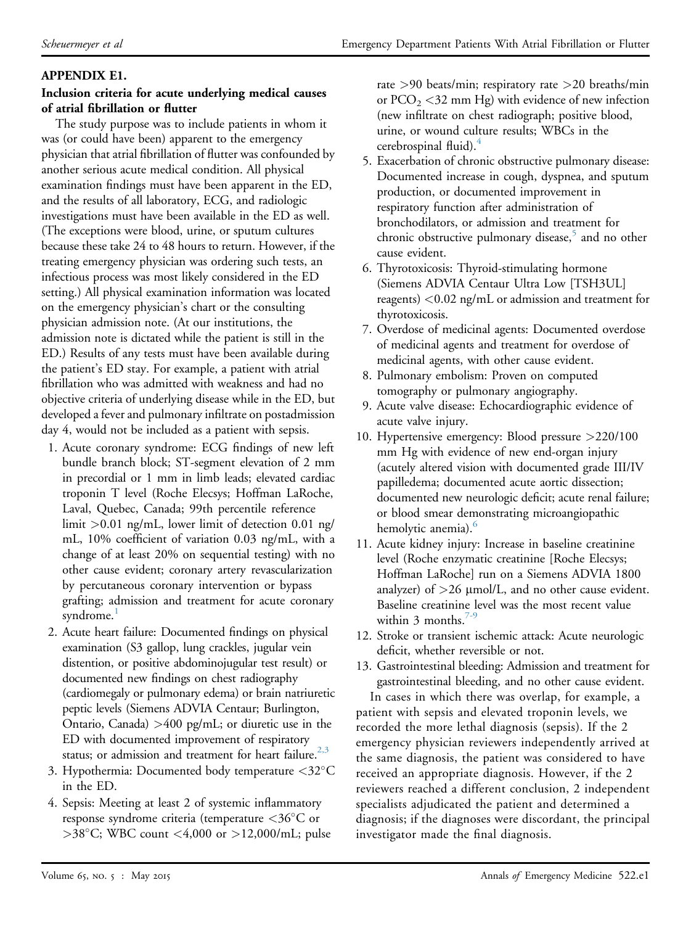## <span id="page-12-0"></span>APPENDIX E1.

## Inclusion criteria for acute underlying medical causes of atrial fibrillation or flutter

The study purpose was to include patients in whom it was (or could have been) apparent to the emergency physician that atrial fibrillation of flutter was confounded by another serious acute medical condition. All physical examination findings must have been apparent in the ED, and the results of all laboratory, ECG, and radiologic investigations must have been available in the ED as well. (The exceptions were blood, urine, or sputum cultures because these take 24 to 48 hours to return. However, if the treating emergency physician was ordering such tests, an infectious process was most likely considered in the ED setting.) All physical examination information was located on the emergency physician's chart or the consulting physician admission note. (At our institutions, the admission note is dictated while the patient is still in the ED.) Results of any tests must have been available during the patient's ED stay. For example, a patient with atrial fibrillation who was admitted with weakness and had no objective criteria of underlying disease while in the ED, but developed a fever and pulmonary infiltrate on postadmission day 4, would not be included as a patient with sepsis.

- 1. Acute coronary syndrome: ECG findings of new left bundle branch block; ST-segment elevation of 2 mm in precordial or 1 mm in limb leads; elevated cardiac troponin T level (Roche Elecsys; Hoffman LaRoche, Laval, Quebec, Canada; 99th percentile reference limit >0.01 ng/mL, lower limit of detection 0.01 ng/ mL, 10% coefficient of variation 0.03 ng/mL, with a change of at least 20% on sequential testing) with no other cause evident; coronary artery revascularization by percutaneous coronary intervention or bypass grafting; admission and treatment for acute coronary syndrome.<sup>[1](#page-10-0)</sup>
- 2. Acute heart failure: Documented findings on physical examination (S3 gallop, lung crackles, jugular vein distention, or positive abdominojugular test result) or documented new findings on chest radiography (cardiomegaly or pulmonary edema) or brain natriuretic peptic levels (Siemens ADVIA Centaur; Burlington, Ontario, Canada)  $>400$  pg/mL; or diuretic use in the ED with documented improvement of respiratory status; or admission and treatment for heart failure.<sup>2,3</sup>
- 3. Hypothermia: Documented body temperature  $\langle 32^{\circ}$ C in the ED.
- 4. Sepsis: Meeting at least 2 of systemic inflammatory response syndrome criteria (temperature  $<36^{\circ}$ C or >38 $\degree$ C; WBC count <4,000 or >12,000/mL; pulse

rate >90 beats/min; respiratory rate >20 breaths/min or  $PCO<sub>2</sub> < 32$  mm Hg) with evidence of new infection (new infiltrate on chest radiograph; positive blood, urine, or wound culture results; WBCs in the cerebrospinal fluid).<sup>[4](#page-10-2)</sup>

- 5. Exacerbation of chronic obstructive pulmonary disease: Documented increase in cough, dyspnea, and sputum production, or documented improvement in respiratory function after administration of bronchodilators, or admission and treatment for chronic obstructive pulmonary disease,<sup>[5](#page-10-8)</sup> and no other cause evident.
- 6. Thyrotoxicosis: Thyroid-stimulating hormone (Siemens ADVIA Centaur Ultra Low [TSH3UL] reagents) <0.02 ng/mL or admission and treatment for thyrotoxicosis.
- 7. Overdose of medicinal agents: Documented overdose of medicinal agents and treatment for overdose of medicinal agents, with other cause evident.
- 8. Pulmonary embolism: Proven on computed tomography or pulmonary angiography.
- 9. Acute valve disease: Echocardiographic evidence of acute valve injury.
- 10. Hypertensive emergency: Blood pressure >220/100 mm Hg with evidence of new end-organ injury (acutely altered vision with documented grade III/IV papilledema; documented acute aortic dissection; documented new neurologic deficit; acute renal failure; or blood smear demonstrating microangiopathic hemolytic anemia).<sup>6</sup>
- 11. Acute kidney injury: Increase in baseline creatinine level (Roche enzymatic creatinine [Roche Elecsys; Hoffman LaRoche] run on a Siemens ADVIA 1800 analyzer) of  $>$ 26  $\mu$ mol/L, and no other cause evident. Baseline creatinine level was the most recent value within 3 months. $7-9$
- 12. Stroke or transient ischemic attack: Acute neurologic deficit, whether reversible or not.
- 13. Gastrointestinal bleeding: Admission and treatment for gastrointestinal bleeding, and no other cause evident.

In cases in which there was overlap, for example, a patient with sepsis and elevated troponin levels, we recorded the more lethal diagnosis (sepsis). If the 2 emergency physician reviewers independently arrived at the same diagnosis, the patient was considered to have received an appropriate diagnosis. However, if the 2 reviewers reached a different conclusion, 2 independent specialists adjudicated the patient and determined a diagnosis; if the diagnoses were discordant, the principal investigator made the final diagnosis.